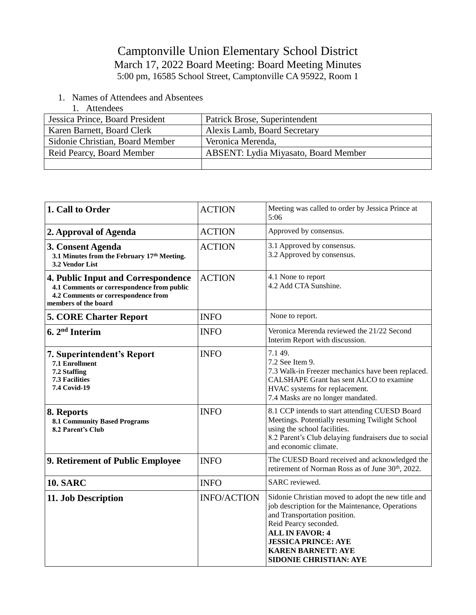## Camptonville Union Elementary School District March 17, 2022 Board Meeting: Board Meeting Minutes 5:00 pm, 16585 School Street, Camptonville CA 95922, Room 1

- 1. Names of Attendees and Absentees
	- 1. Attendees

| Jessica Prince, Board President | Patrick Brose, Superintendent               |
|---------------------------------|---------------------------------------------|
| Karen Barnett, Board Clerk      | Alexis Lamb, Board Secretary                |
| Sidonie Christian, Board Member | Veronica Merenda,                           |
| Reid Pearcy, Board Member       | <b>ABSENT: Lydia Miyasato, Board Member</b> |
|                                 |                                             |

| 1. Call to Order                                                                                                                                       | <b>ACTION</b>      | Meeting was called to order by Jessica Prince at<br>5:06                                                                                                                                                                                                                             |
|--------------------------------------------------------------------------------------------------------------------------------------------------------|--------------------|--------------------------------------------------------------------------------------------------------------------------------------------------------------------------------------------------------------------------------------------------------------------------------------|
| 2. Approval of Agenda                                                                                                                                  | <b>ACTION</b>      | Approved by consensus.                                                                                                                                                                                                                                                               |
| 3. Consent Agenda<br>3.1 Minutes from the February 17th Meeting.<br>3.2 Vendor List                                                                    | <b>ACTION</b>      | 3.1 Approved by consensus.<br>3.2 Approved by consensus.                                                                                                                                                                                                                             |
| <b>4. Public Input and Correspondence</b><br>4.1 Comments or correspondence from public<br>4.2 Comments or correspondence from<br>members of the board | <b>ACTION</b>      | 4.1 None to report<br>4.2 Add CTA Sunshine.                                                                                                                                                                                                                                          |
| <b>5. CORE Charter Report</b>                                                                                                                          | <b>INFO</b>        | None to report.                                                                                                                                                                                                                                                                      |
| $6.2nd$ Interim                                                                                                                                        | <b>INFO</b>        | Veronica Merenda reviewed the 21/22 Second<br>Interim Report with discussion.                                                                                                                                                                                                        |
| 7. Superintendent's Report<br>7.1 Enrollment<br>7.2 Staffing<br><b>7.3 Facilities</b><br><b>7.4 Covid-19</b>                                           | <b>INFO</b>        | 7.1 49.<br>7.2 See Item 9.<br>7.3 Walk-in Freezer mechanics have been replaced.<br>CALSHAPE Grant has sent ALCO to examine<br>HVAC systems for replacement.<br>7.4 Masks are no longer mandated.                                                                                     |
| 8. Reports<br><b>8.1 Community Based Programs</b><br>8.2 Parent's Club                                                                                 | <b>INFO</b>        | 8.1 CCP intends to start attending CUESD Board<br>Meetings. Potentially resuming Twilight School<br>using the school facilities.<br>8.2 Parent's Club delaying fundraisers due to social<br>and economic climate.                                                                    |
| 9. Retirement of Public Employee                                                                                                                       | <b>INFO</b>        | The CUESD Board received and acknowledged the<br>retirement of Norman Ross as of June 30 <sup>th</sup> , 2022.                                                                                                                                                                       |
| <b>10. SARC</b>                                                                                                                                        | <b>INFO</b>        | SARC reviewed.                                                                                                                                                                                                                                                                       |
| 11. Job Description                                                                                                                                    | <b>INFO/ACTION</b> | Sidonie Christian moved to adopt the new title and<br>job description for the Maintenance, Operations<br>and Transportation position.<br>Reid Pearcy seconded.<br><b>ALL IN FAVOR: 4</b><br><b>JESSICA PRINCE: AYE</b><br><b>KAREN BARNETT: AYE</b><br><b>SIDONIE CHRISTIAN: AYE</b> |